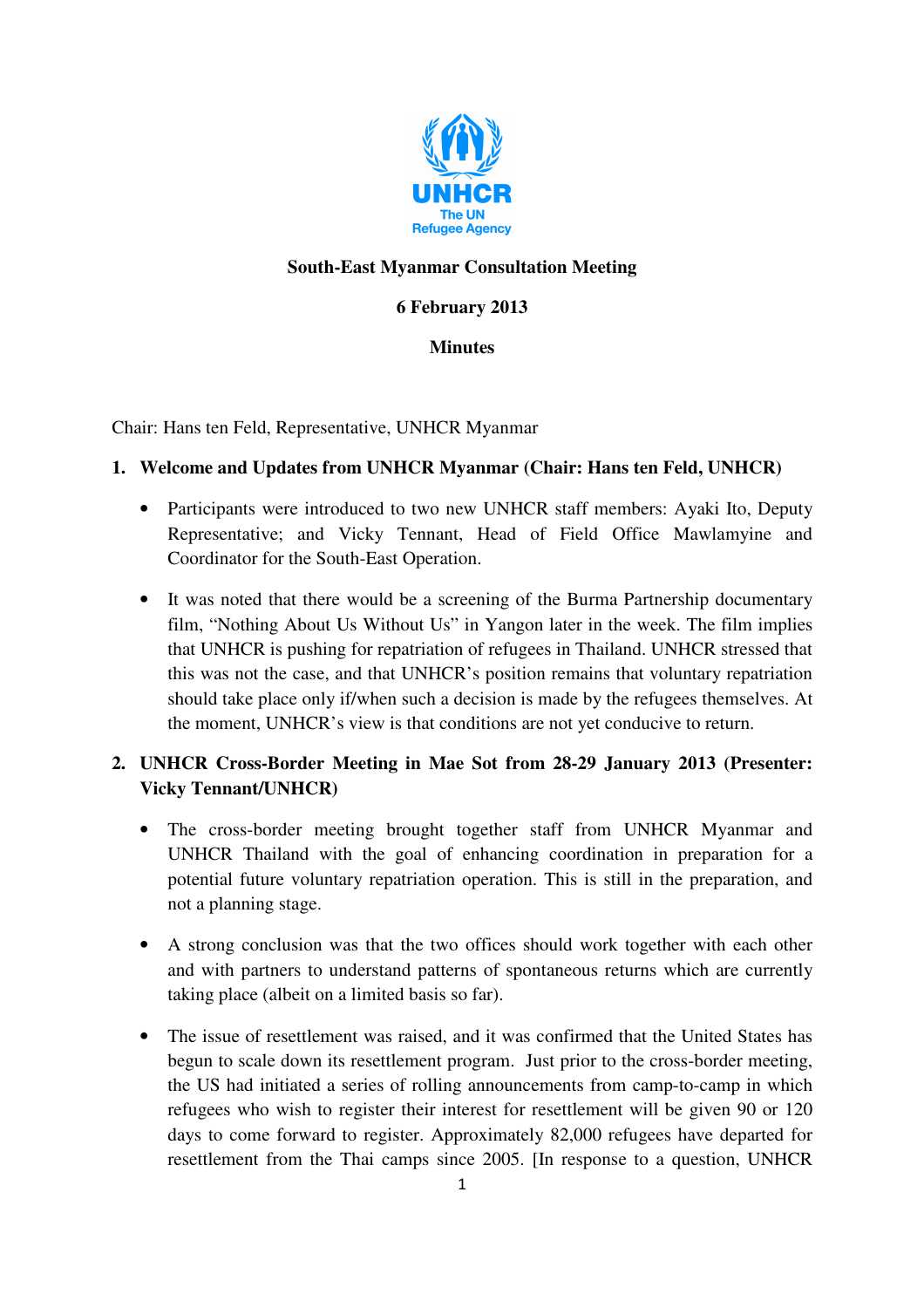

## **South-East Myanmar Consultation Meeting**

## **6 February 2013**

### **Minutes**

Chair: Hans ten Feld, Representative, UNHCR Myanmar

### **1. Welcome and Updates from UNHCR Myanmar (Chair: Hans ten Feld, UNHCR)**

- Participants were introduced to two new UNHCR staff members: Ayaki Ito, Deputy Representative; and Vicky Tennant, Head of Field Office Mawlamyine and Coordinator for the South-East Operation.
- It was noted that there would be a screening of the Burma Partnership documentary film, "Nothing About Us Without Us" in Yangon later in the week. The film implies that UNHCR is pushing for repatriation of refugees in Thailand. UNHCR stressed that this was not the case, and that UNHCR's position remains that voluntary repatriation should take place only if/when such a decision is made by the refugees themselves. At the moment, UNHCR's view is that conditions are not yet conducive to return.

# **2. UNHCR Cross-Border Meeting in Mae Sot from 28-29 January 2013 (Presenter: Vicky Tennant/UNHCR)**

- The cross-border meeting brought together staff from UNHCR Myanmar and UNHCR Thailand with the goal of enhancing coordination in preparation for a potential future voluntary repatriation operation. This is still in the preparation, and not a planning stage.
- A strong conclusion was that the two offices should work together with each other and with partners to understand patterns of spontaneous returns which are currently taking place (albeit on a limited basis so far).
- The issue of resettlement was raised, and it was confirmed that the United States has begun to scale down its resettlement program. Just prior to the cross-border meeting, the US had initiated a series of rolling announcements from camp-to-camp in which refugees who wish to register their interest for resettlement will be given 90 or 120 days to come forward to register. Approximately 82,000 refugees have departed for resettlement from the Thai camps since 2005. [In response to a question, UNHCR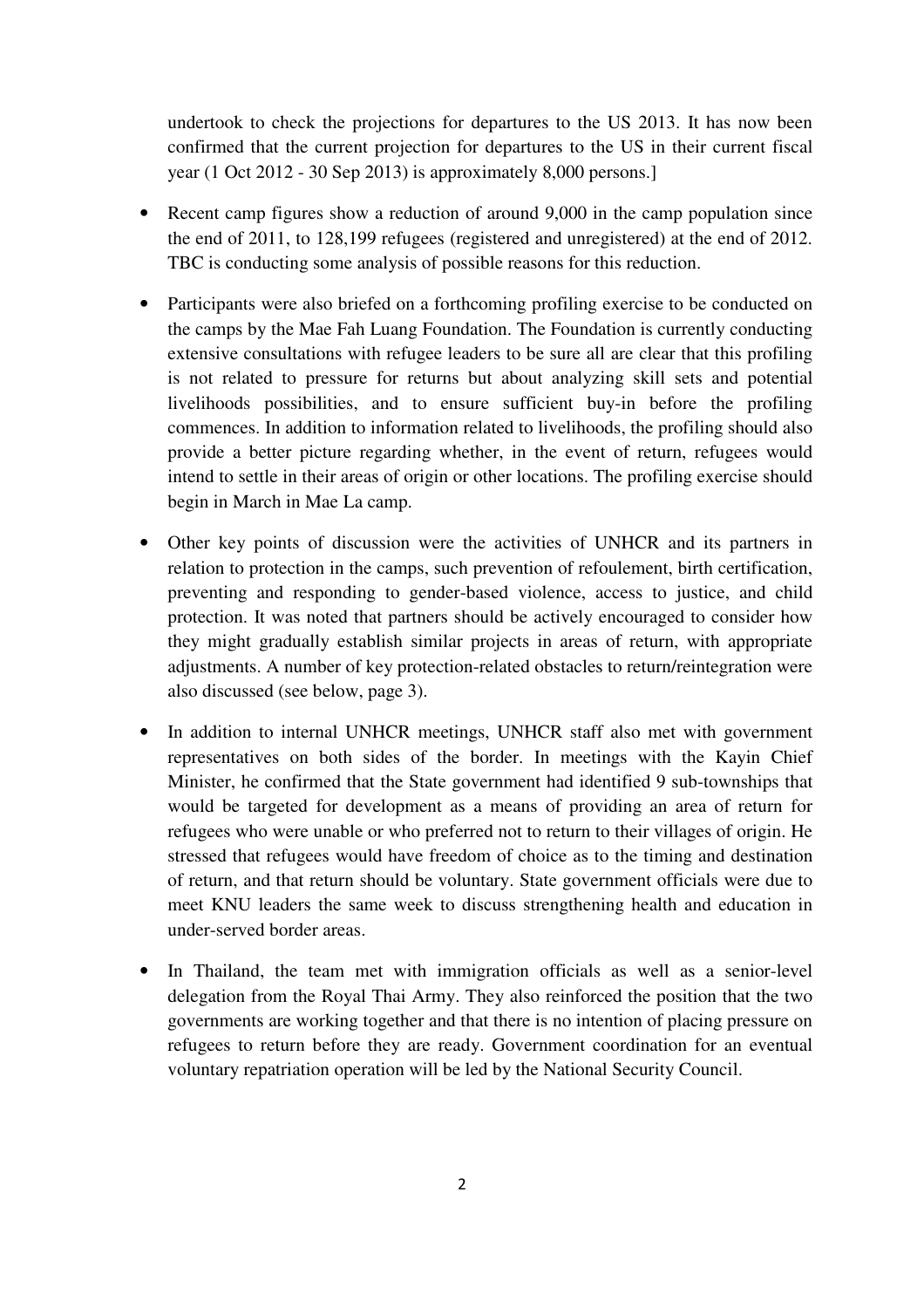undertook to check the projections for departures to the US 2013. It has now been confirmed that the current projection for departures to the US in their current fiscal year (1 Oct 2012 - 30 Sep 2013) is approximately 8,000 persons.]

- Recent camp figures show a reduction of around 9,000 in the camp population since the end of 2011, to 128,199 refugees (registered and unregistered) at the end of 2012. TBC is conducting some analysis of possible reasons for this reduction.
- Participants were also briefed on a forthcoming profiling exercise to be conducted on the camps by the Mae Fah Luang Foundation. The Foundation is currently conducting extensive consultations with refugee leaders to be sure all are clear that this profiling is not related to pressure for returns but about analyzing skill sets and potential livelihoods possibilities, and to ensure sufficient buy-in before the profiling commences. In addition to information related to livelihoods, the profiling should also provide a better picture regarding whether, in the event of return, refugees would intend to settle in their areas of origin or other locations. The profiling exercise should begin in March in Mae La camp.
- Other key points of discussion were the activities of UNHCR and its partners in relation to protection in the camps, such prevention of refoulement, birth certification, preventing and responding to gender-based violence, access to justice, and child protection. It was noted that partners should be actively encouraged to consider how they might gradually establish similar projects in areas of return, with appropriate adjustments. A number of key protection-related obstacles to return/reintegration were also discussed (see below, page 3).
- In addition to internal UNHCR meetings, UNHCR staff also met with government representatives on both sides of the border. In meetings with the Kayin Chief Minister, he confirmed that the State government had identified 9 sub-townships that would be targeted for development as a means of providing an area of return for refugees who were unable or who preferred not to return to their villages of origin. He stressed that refugees would have freedom of choice as to the timing and destination of return, and that return should be voluntary. State government officials were due to meet KNU leaders the same week to discuss strengthening health and education in under-served border areas.
- In Thailand, the team met with immigration officials as well as a senior-level delegation from the Royal Thai Army. They also reinforced the position that the two governments are working together and that there is no intention of placing pressure on refugees to return before they are ready. Government coordination for an eventual voluntary repatriation operation will be led by the National Security Council.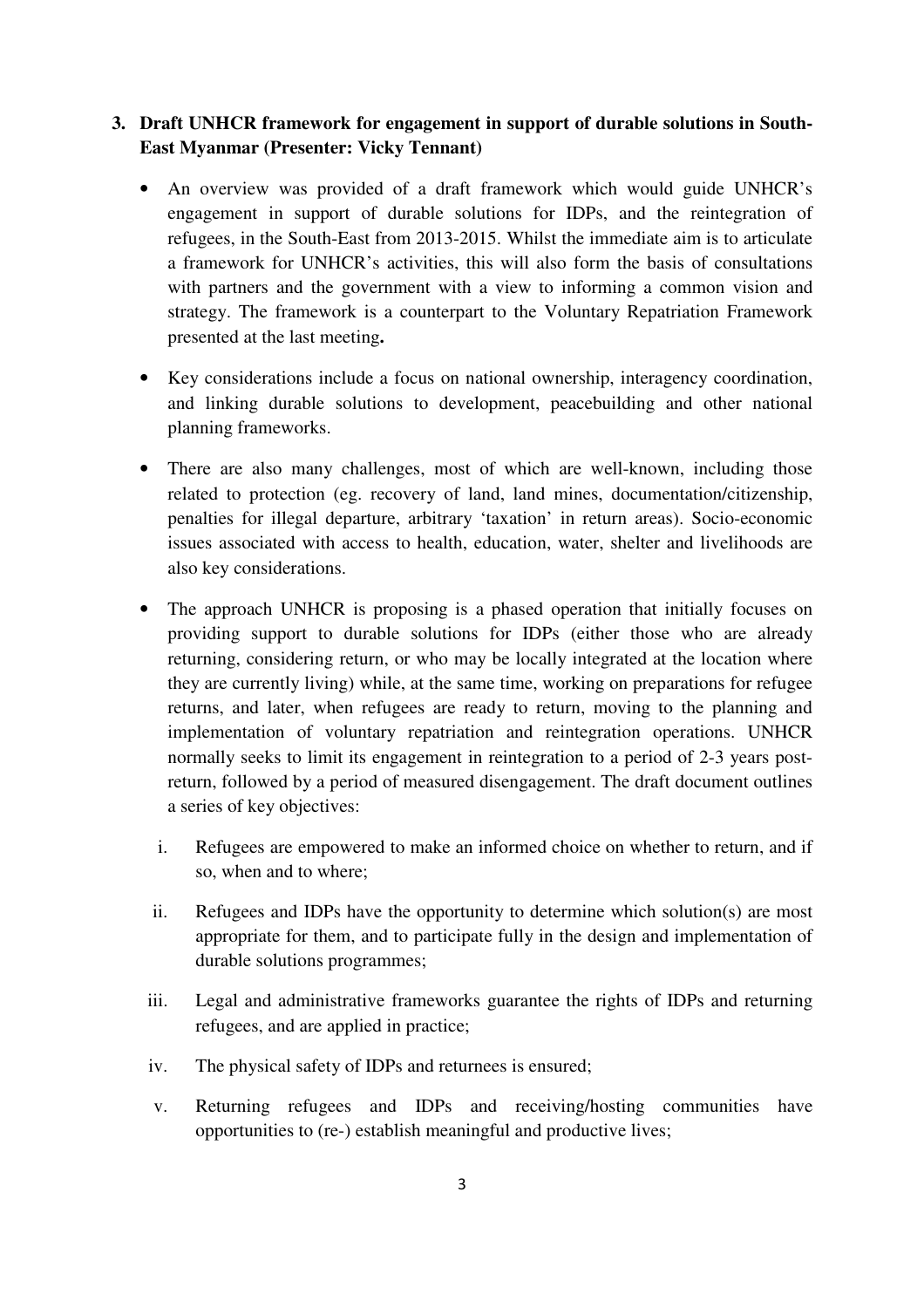### **3. Draft UNHCR framework for engagement in support of durable solutions in South-East Myanmar (Presenter: Vicky Tennant)**

- An overview was provided of a draft framework which would guide UNHCR's engagement in support of durable solutions for IDPs, and the reintegration of refugees, in the South-East from 2013-2015. Whilst the immediate aim is to articulate a framework for UNHCR's activities, this will also form the basis of consultations with partners and the government with a view to informing a common vision and strategy. The framework is a counterpart to the Voluntary Repatriation Framework presented at the last meeting**.**
- Key considerations include a focus on national ownership, interagency coordination, and linking durable solutions to development, peacebuilding and other national planning frameworks.
- There are also many challenges, most of which are well-known, including those related to protection (eg. recovery of land, land mines, documentation/citizenship, penalties for illegal departure, arbitrary 'taxation' in return areas). Socio-economic issues associated with access to health, education, water, shelter and livelihoods are also key considerations.
- The approach UNHCR is proposing is a phased operation that initially focuses on providing support to durable solutions for IDPs (either those who are already returning, considering return, or who may be locally integrated at the location where they are currently living) while, at the same time, working on preparations for refugee returns, and later, when refugees are ready to return, moving to the planning and implementation of voluntary repatriation and reintegration operations. UNHCR normally seeks to limit its engagement in reintegration to a period of 2-3 years postreturn, followed by a period of measured disengagement. The draft document outlines a series of key objectives:
	- i. Refugees are empowered to make an informed choice on whether to return, and if so, when and to where;
	- ii. Refugees and IDPs have the opportunity to determine which solution(s) are most appropriate for them, and to participate fully in the design and implementation of durable solutions programmes;
- iii. Legal and administrative frameworks guarantee the rights of IDPs and returning refugees, and are applied in practice;
- iv. The physical safety of IDPs and returnees is ensured;
- v. Returning refugees and IDPs and receiving/hosting communities have opportunities to (re-) establish meaningful and productive lives;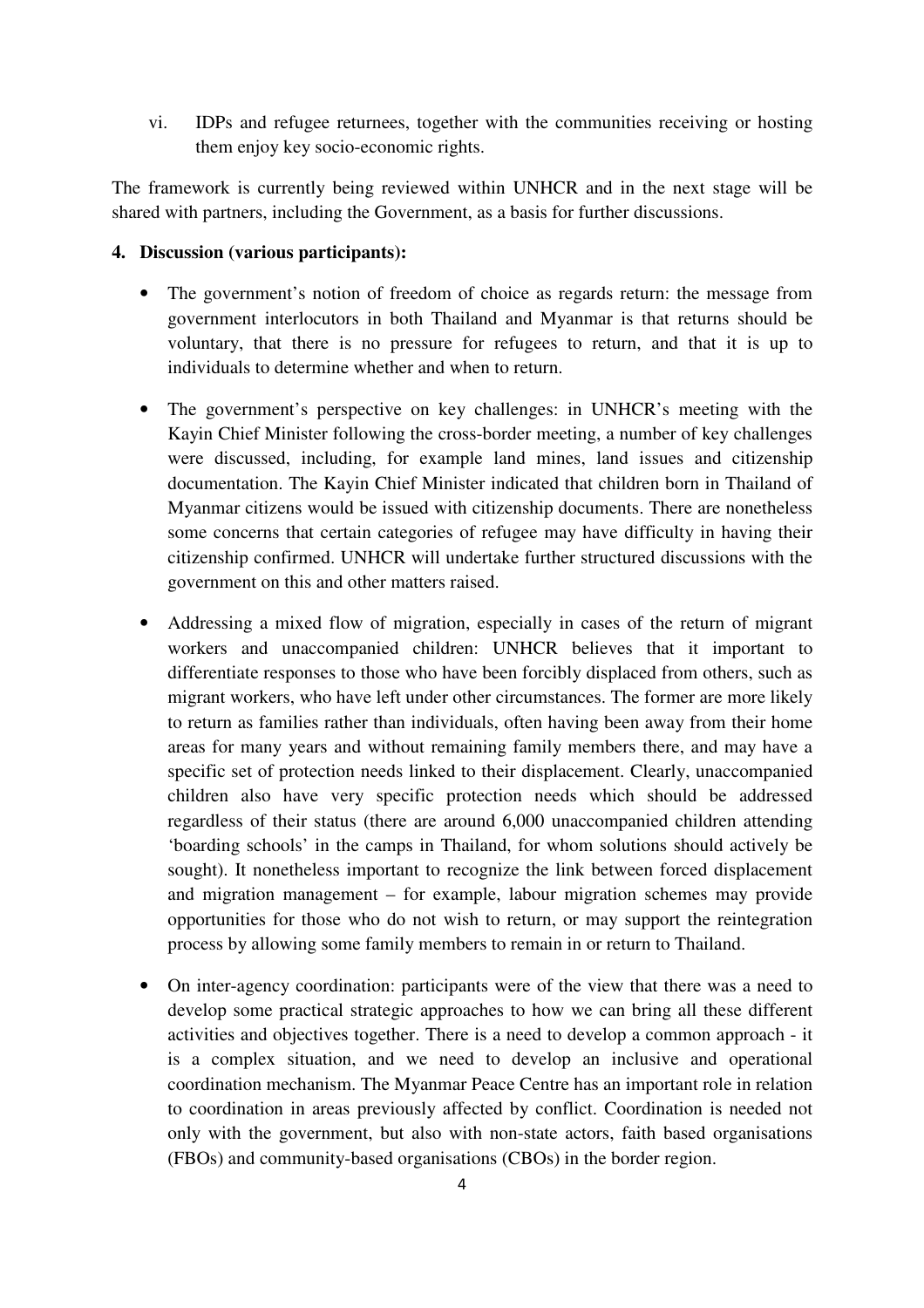vi. IDPs and refugee returnees, together with the communities receiving or hosting them enjoy key socio-economic rights.

The framework is currently being reviewed within UNHCR and in the next stage will be shared with partners, including the Government, as a basis for further discussions.

#### **4. Discussion (various participants):**

- The government's notion of freedom of choice as regards return: the message from government interlocutors in both Thailand and Myanmar is that returns should be voluntary, that there is no pressure for refugees to return, and that it is up to individuals to determine whether and when to return.
- The government's perspective on key challenges: in UNHCR's meeting with the Kayin Chief Minister following the cross-border meeting, a number of key challenges were discussed, including, for example land mines, land issues and citizenship documentation. The Kayin Chief Minister indicated that children born in Thailand of Myanmar citizens would be issued with citizenship documents. There are nonetheless some concerns that certain categories of refugee may have difficulty in having their citizenship confirmed. UNHCR will undertake further structured discussions with the government on this and other matters raised.
- Addressing a mixed flow of migration, especially in cases of the return of migrant workers and unaccompanied children: UNHCR believes that it important to differentiate responses to those who have been forcibly displaced from others, such as migrant workers, who have left under other circumstances. The former are more likely to return as families rather than individuals, often having been away from their home areas for many years and without remaining family members there, and may have a specific set of protection needs linked to their displacement. Clearly, unaccompanied children also have very specific protection needs which should be addressed regardless of their status (there are around 6,000 unaccompanied children attending 'boarding schools' in the camps in Thailand, for whom solutions should actively be sought). It nonetheless important to recognize the link between forced displacement and migration management – for example, labour migration schemes may provide opportunities for those who do not wish to return, or may support the reintegration process by allowing some family members to remain in or return to Thailand.
- On inter-agency coordination: participants were of the view that there was a need to develop some practical strategic approaches to how we can bring all these different activities and objectives together. There is a need to develop a common approach - it is a complex situation, and we need to develop an inclusive and operational coordination mechanism. The Myanmar Peace Centre has an important role in relation to coordination in areas previously affected by conflict. Coordination is needed not only with the government, but also with non-state actors, faith based organisations (FBOs) and community-based organisations (CBOs) in the border region.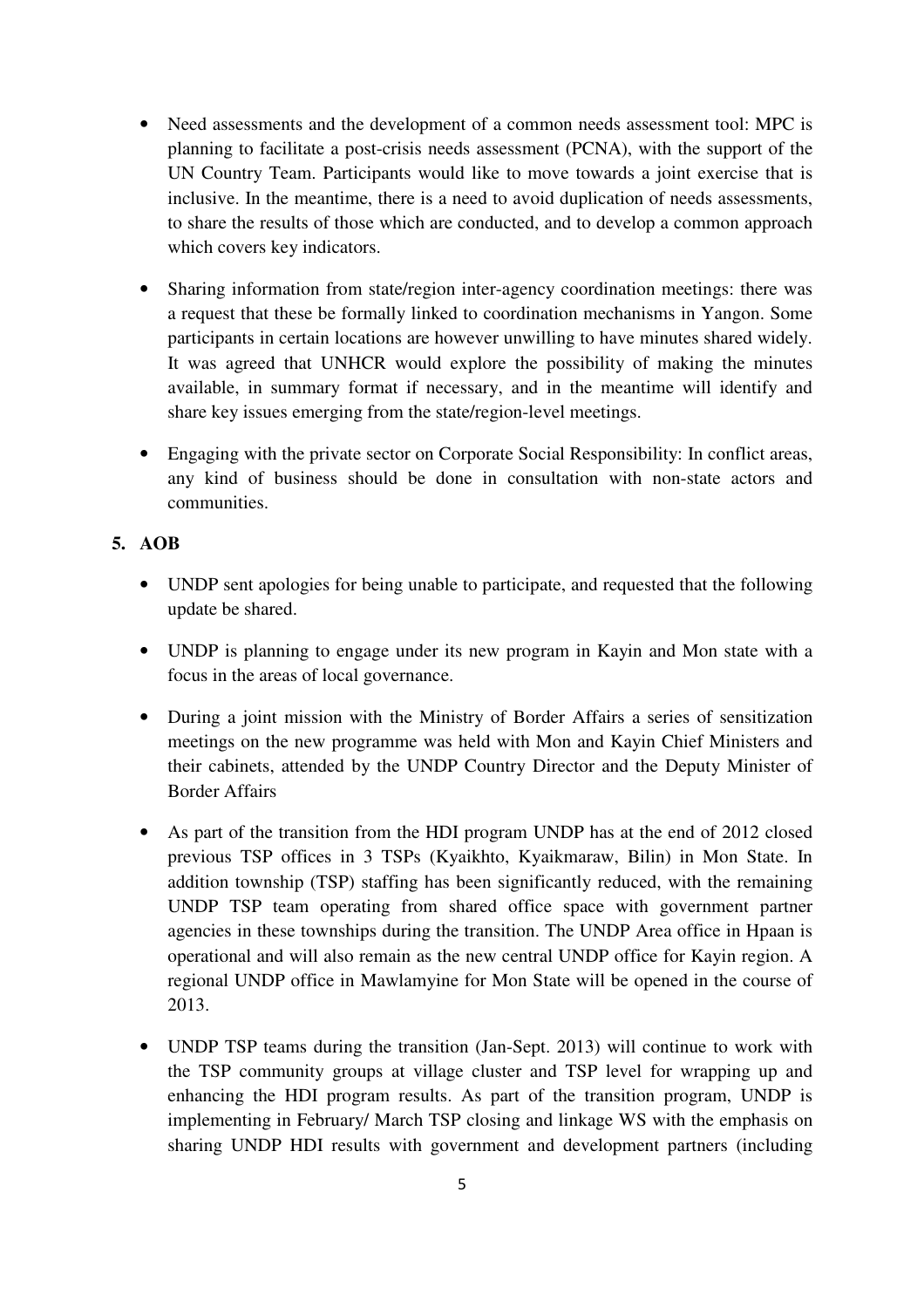- Need assessments and the development of a common needs assessment tool: MPC is planning to facilitate a post-crisis needs assessment (PCNA), with the support of the UN Country Team. Participants would like to move towards a joint exercise that is inclusive. In the meantime, there is a need to avoid duplication of needs assessments, to share the results of those which are conducted, and to develop a common approach which covers key indicators.
- Sharing information from state/region inter-agency coordination meetings: there was a request that these be formally linked to coordination mechanisms in Yangon. Some participants in certain locations are however unwilling to have minutes shared widely. It was agreed that UNHCR would explore the possibility of making the minutes available, in summary format if necessary, and in the meantime will identify and share key issues emerging from the state/region-level meetings.
- Engaging with the private sector on Corporate Social Responsibility: In conflict areas, any kind of business should be done in consultation with non-state actors and communities.

### **5. AOB**

- UNDP sent apologies for being unable to participate, and requested that the following update be shared.
- UNDP is planning to engage under its new program in Kayin and Mon state with a focus in the areas of local governance.
- During a joint mission with the Ministry of Border Affairs a series of sensitization meetings on the new programme was held with Mon and Kayin Chief Ministers and their cabinets, attended by the UNDP Country Director and the Deputy Minister of Border Affairs
- As part of the transition from the HDI program UNDP has at the end of 2012 closed previous TSP offices in 3 TSPs (Kyaikhto, Kyaikmaraw, Bilin) in Mon State. In addition township (TSP) staffing has been significantly reduced, with the remaining UNDP TSP team operating from shared office space with government partner agencies in these townships during the transition. The UNDP Area office in Hpaan is operational and will also remain as the new central UNDP office for Kayin region. A regional UNDP office in Mawlamyine for Mon State will be opened in the course of 2013.
- UNDP TSP teams during the transition (Jan-Sept. 2013) will continue to work with the TSP community groups at village cluster and TSP level for wrapping up and enhancing the HDI program results. As part of the transition program, UNDP is implementing in February/ March TSP closing and linkage WS with the emphasis on sharing UNDP HDI results with government and development partners (including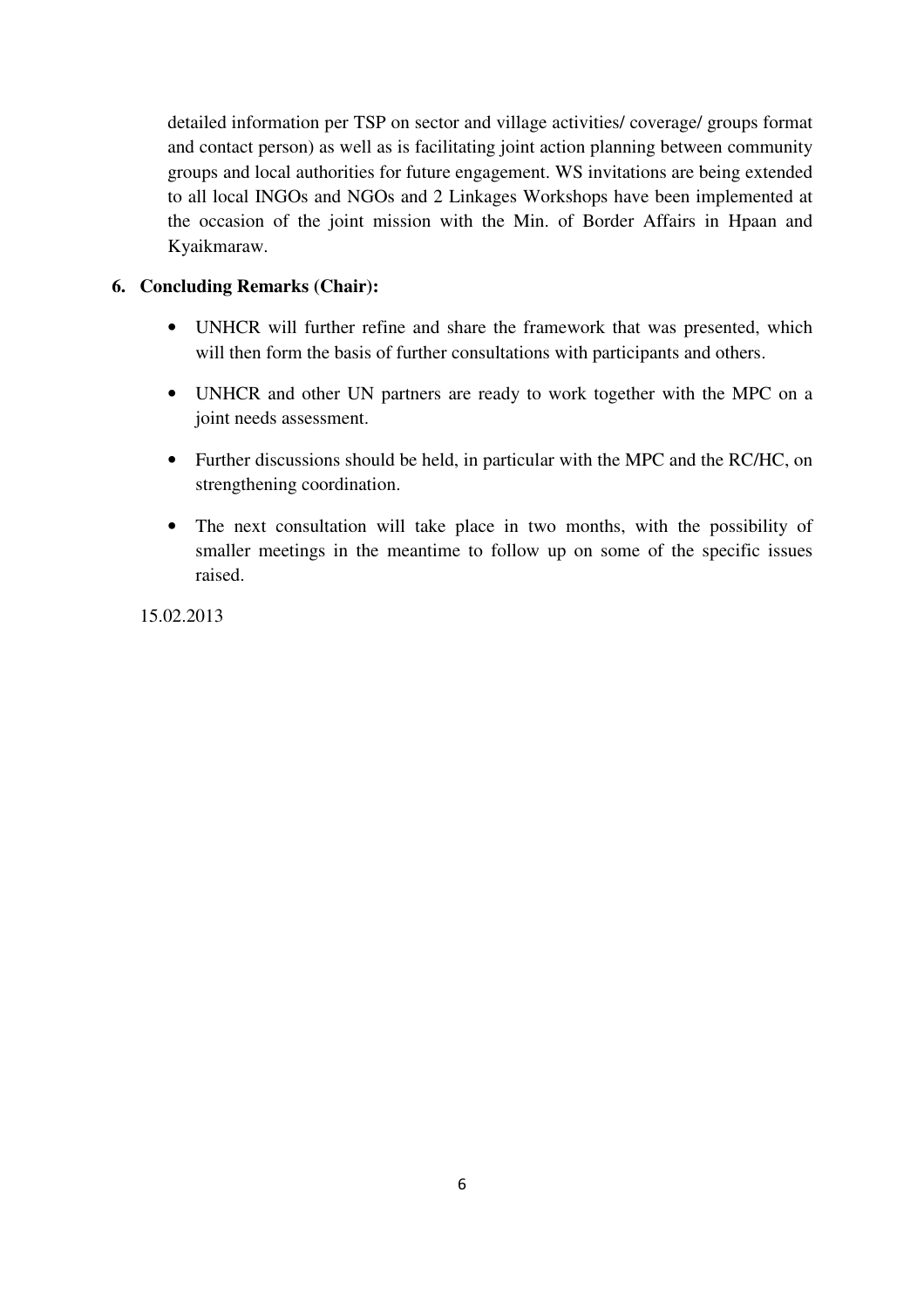detailed information per TSP on sector and village activities/ coverage/ groups format and contact person) as well as is facilitating joint action planning between community groups and local authorities for future engagement. WS invitations are being extended to all local INGOs and NGOs and 2 Linkages Workshops have been implemented at the occasion of the joint mission with the Min. of Border Affairs in Hpaan and Kyaikmaraw.

#### **6. Concluding Remarks (Chair):**

- UNHCR will further refine and share the framework that was presented, which will then form the basis of further consultations with participants and others.
- UNHCR and other UN partners are ready to work together with the MPC on a joint needs assessment.
- Further discussions should be held, in particular with the MPC and the RC/HC, on strengthening coordination.
- The next consultation will take place in two months, with the possibility of smaller meetings in the meantime to follow up on some of the specific issues raised.

15.02.2013